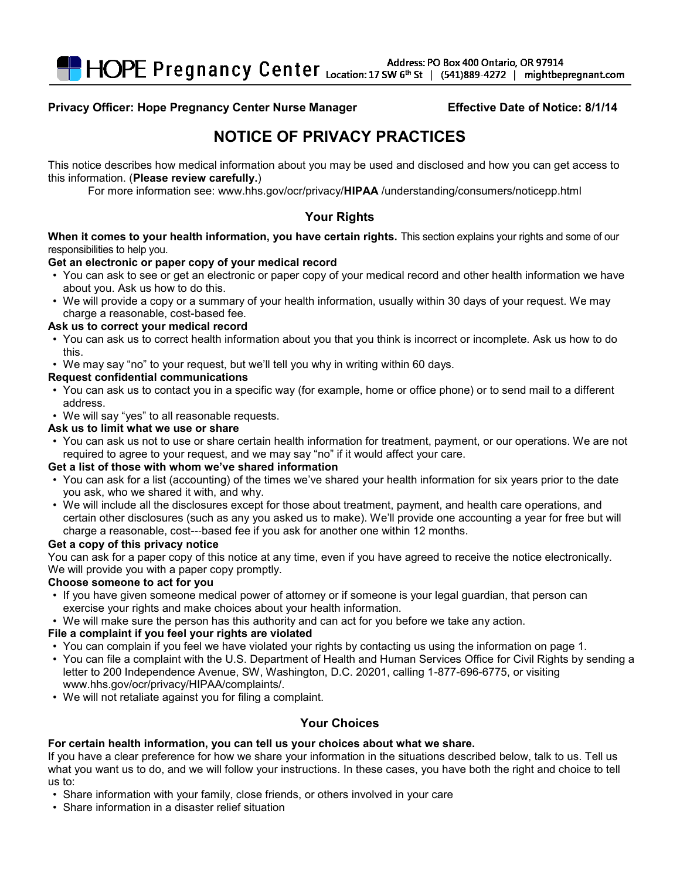

# **Privacy Officer: Hope Pregnancy Center Nurse Manager Effective Date of Notice: 8/1/14**

# **NOTICE OF PRIVACY PRACTICES**

This notice describes how medical information about you may be used and disclosed and how you can get access to this information. (**Please review carefully.**)

For more information see: www.hhs.gov/ocr/privacy/**HIPAA** [/understanding/consumers/noticepp.html](http://www.hhs.gov/ocr/privacy/hipaa/understanding/consumers/noticepp.html)

# **Your Rights**

**When it comes to your health information, you have certain rights.** This section explains your rights and some of our responsibilities to help you.

### **Get an electronic or paper copy of your medical record**

- You can ask to see or get an electronic or paper copy of your medical record and other health information we have about you. Ask us how to do this.
- We will provide a copy or a summary of your health information, usually within 30 days of your request. We may charge a reasonable, cost-based fee.

### **Ask us to correct your medical record**

- You can ask us to correct health information about you that you think is incorrect or incomplete. Ask us how to do this.
- We may say "no" to your request, but we'll tell you why in writing within 60 days.

### **Request confidential communications**

- You can ask us to contact you in a specific way (for example, home or office phone) or to send mail to a different address.
- We will say "yes" to all reasonable requests.

### **Ask us to limit what we use or share**

• You can ask us not to use or share certain health information for treatment, payment, or our operations. We are not required to agree to your request, and we may say "no" if it would affect your care.

### **Get a list of those with whom we've shared information**

- You can ask for a list (accounting) of the times we've shared your health information for six years prior to the date you ask, who we shared it with, and why.
- We will include all the disclosures except for those about treatment, payment, and health care operations, and certain other disclosures (such as any you asked us to make). We'll provide one accounting a year for free but will charge a reasonable, cost--‐based fee if you ask for another one within 12 months.

### **Get a copy of this privacy notice**

You can ask for a paper copy of this notice at any time, even if you have agreed to receive the notice electronically. We will provide you with a paper copy promptly.

### **Choose someone to act for you**

- If you have given someone medical power of attorney or if someone is your legal guardian, that person can exercise your rights and make choices about your health information.
- We will make sure the person has this authority and can act for you before we take any action.

### **File a complaint if you feel your rights are violated**

- You can complain if you feel we have violated your rights by contacting us using the information on page 1.
- You can file a complaint with the U.S. Department of Health and Human Services Office for Civil Rights by sending a letter to 200 Independence Avenue, SW, Washington, D.C. 20201, calling 1-877-696-6775, or visiting www.hhs.gov/ocr/privacy/HIPAA/complaints/.
- We will not retaliate against you for filing a complaint.

## **Your Choices**

## **For certain health information, you can tell us your choices about what we share.**

If you have a clear preference for how we share your information in the situations described below, talk to us. Tell us what you want us to do, and we will follow your instructions. In these cases, you have both the right and choice to tell us to:

- Share information with your family, close friends, or others involved in your care
- Share information in a disaster relief situation